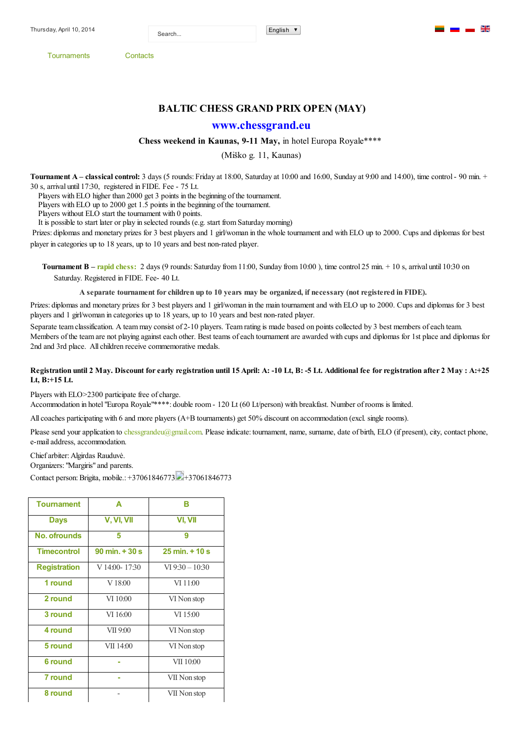Search...

[Tournaments](http://chessgrand.eu/index.php/en/) [Contacts](http://chessgrand.eu/index.php/en/contacts-en)

## **BALTIC CHESS GRAND PRIX OPEN (MAY)**

## **[www.chessgrand.eu](http://www.chessgrand.eu/)**

## **Chess weekend in Kaunas, 911 May,** in hotel Europa Royale\*\*\*\*

(Miško g. 11, Kaunas)

**Tournament A – <b>classical control:** 3 days (5 rounds: Friday at 18:00, Saturday at 10:00 and 16:00, Sunday at 9:00 and 14:00), time control - 90 min. + 30 s, arrival until 17:30, registered in FIDE. Fee 75 Lt.

Players with ELO higher than 2000 get 3 points in the beginning of the tournament.

Players with ELO up to 2000 get 1.5 points in the beginning of the tournament.

Players without ELO start the tournament with 0 points.

It is possible to start later or play in selected rounds (e.g. start from Saturday morning)

Prizes: diplomas and monetary prizes for 3 best players and 1 girl/woman in the whole tournament and with ELO up to 2000. Cups and diplomas for best player in categories up to 18 years, up to 10 years and best non-rated player.

**Tournament B – rapid chess:** 2 days (9 rounds: Saturday from 11:00, Sunday from 10:00), time control 25 min. + 10 s, arrival until 10:30 on Saturday. Registered in FIDE. Fee- 40 Lt.

A separate tournament for children up to 10 years may be organized, if necessary (not registered in FIDE).

Prizes: diplomas and monetary prizes for 3 best players and 1 girl/woman in the main tournament and with ELO up to 2000. Cups and diplomas for 3 best players and 1 girl/woman in categories up to 18 years, up to 10 years and best non-rated player.

Separate team classification. A team may consist of 2-10 players. Team rating is made based on points collected by 3 best members of each team. Members of the team are not playing against each other. Best teams of each tournament are awarded with cups and diplomas for 1st place and diplomas for 2nd and 3rd place. All children receive commemorative medals.

## Registration until 2 May. Discount for early registration until 15 April: A: -10 Lt, B: -5 Lt. Additional fee for registration after 2 May : A:+25 **Lt, B:+15 Lt.**

Players with ELO>2300 participate free of charge.

Accommodation in hotel "Europa Royale"\*\*\*\*: double room 120 Lt (60 Lt/person) with breakfast. Number of rooms is limited.

All coaches participating with 6 and more players (A+B tournaments) get 50% discount on accommodation (excl. single rooms).

Please send your application to [chessgrandeu@gmail.com.](mailto:chessgrandeu@gmail.com) Please indicate: tournament, name, surname, date of birth, ELO (if present), city, contact phone, e-mail address, accommodation.

Chief arbiter: Algirdas Rauduvė.

Organizers: "Margiris" and parents.

Contact person: Brigita, mobile.: +37061846773 +37061846773

| <b>Tournament</b>   | A                                | в                                |
|---------------------|----------------------------------|----------------------------------|
| <b>Days</b>         | V, VI, VII                       | VI, VII                          |
| No. ofrounds        | 5                                | 9                                |
| <b>Timecontrol</b>  | $90 \text{ min.} + 30 \text{ s}$ | $25 \text{ min.} + 10 \text{ s}$ |
| <b>Registration</b> | V 14:00-17:30                    | $VI$ 9:30 $- 10:30$              |
| 1 round             | V18:00                           | VI 11:00                         |
| 2 round             | VI 10:00                         | VI Non stop                      |
| 3 round             | VI 16:00                         | VI 15:00                         |
| 4 round             | VII 9:00                         | VI Non stop                      |
| 5 round             | VII 14:00                        | VI Non stop                      |
| <b>6 round</b>      |                                  | VII 10:00                        |
| 7 round             |                                  | VII Non stop                     |
| 8 round             |                                  | VII Non stop                     |